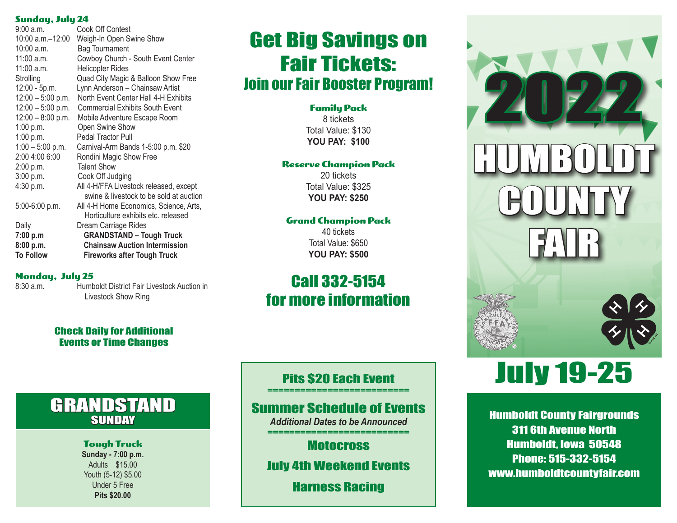### Sunday, July 24

| 9:00 a.m.           | Cook Off Contest                                                                  |
|---------------------|-----------------------------------------------------------------------------------|
| 10:00 a.m.-12:00    | Weigh-In Open Swine Show                                                          |
| 10:00 a.m.          | <b>Bag Tournament</b>                                                             |
| 11:00 a.m.          | Cowboy Church - South Event Center                                                |
| 11:00 a.m.          | <b>Helicopter Rides</b>                                                           |
| Strolling           | Quad City Magic & Balloon Show Free                                               |
| 12:00 - 5p.m.       | Lynn Anderson - Chainsaw Artist                                                   |
| $12:00 - 5:00$ p.m. | North Event Center Hall 4-H Exhibits                                              |
| $12:00 - 5:00$ p.m. | <b>Commercial Exhibits South Event</b>                                            |
| $12:00 - 8:00$ p.m. | Mobile Adventure Escape Room                                                      |
| 1:00 p.m.           | Open Swine Show                                                                   |
| 1:00 p.m.           | Pedal Tractor Pull                                                                |
| $1:00 - 5:00$ p.m.  | Carnival-Arm Bands 1-5:00 p.m. \$20                                               |
| 2:00 4:00 6:00      | Rondini Magic Show Free                                                           |
| 2:00 p.m.           | <b>Talent Show</b>                                                                |
| 3:00 p.m.           | Cook Off Judging                                                                  |
| 4:30 p.m.           | All 4-H/FFA Livestock released, except<br>swine & livestock to be sold at auction |
| 5:00-6:00 p.m.      | All 4-H Home Economics, Science, Arts,<br>Horticulture exhibits etc. released     |
| Daily               | Dream Carriage Rides                                                              |
| 7:00 p.m            | <b>GRANDSTAND - Tough Truck</b>                                                   |
| 8:00 p.m.           | <b>Chainsaw Auction Intermission</b>                                              |
| To Follow           | Fireworks after Tough Truck                                                       |

### Monday, July 25

8:30 a.m. Humboldt District Fair Livestock Auction in Livestock Show Ring

### Check Daily for Additional Events or Time Changes

## GRANDSTAND **SUNDAY**

### Tough Truck

**Sunday - 7:00 p.m.** Adults \$15.00 Youth (5-12) \$5.00 Under 5 Free **Pits \$20.00**

# Get Big Savings on Fair Tickets: Join our Fair Booster Program!

Family Pack 8 tickets Total Value: \$130 **YOU PAY: \$100**

#### Reserve Champion Pack

20 tickets Total Value: \$325 **YOU PAY: \$250**

### Grand Champion Pack

40 tickets Total Value: \$650 **YOU PAY: \$500**

# Call 332-5154 for more information



# July 19-25

Humboldt County Fairgrounds 311 6th Avenue North Humboldt, Iowa 50548 Phone: 515-332-5154 www.humboldtcountyfair.com

### Pits \$20 Each Event

### Summer Schedule of Events

*Additional Dates to be Announced* ==========================

**Motocross** 

July 4th Weekend Events

Harness Racing